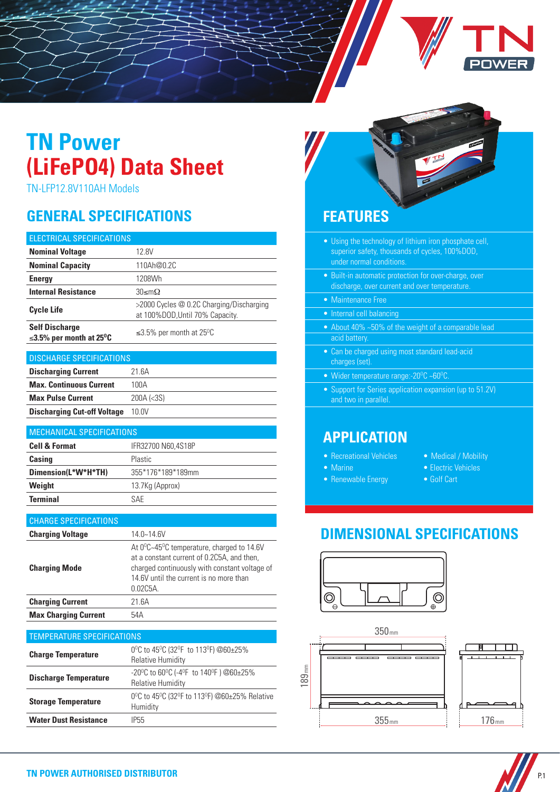# **TN Power (LiFePO4) Data Sheet**

TN-LFP12.8V110AH Models

# **GENERAL SPECIFICATIONS FEATURES**

| ELECTRICAL SPECIFICATIONS                                           |                                                                             |  |
|---------------------------------------------------------------------|-----------------------------------------------------------------------------|--|
| <b>Nominal Voltage</b>                                              | 12.8V                                                                       |  |
| <b>Nominal Capacity</b>                                             | 110Ah@0.2C                                                                  |  |
| <b>Energy</b>                                                       | 1208Wh                                                                      |  |
| <b>Internal Resistance</b>                                          | $30$ ≤mΩ                                                                    |  |
| <b>Cycle Life</b>                                                   | >2000 Cycles @ 0.2C Charging/Discharging<br>at 100%DOD, Until 70% Capacity. |  |
| <b>Self Discharge</b><br>$\leq$ 3.5% per month at 25 <sup>o</sup> C | $\leq$ 3.5% per month at 25 <sup>o</sup> C                                  |  |
|                                                                     |                                                                             |  |
| <b>DISCHARGE SPECIFICATIONS</b>                                     |                                                                             |  |
| <b>Discharging Current</b>                                          | 21.6A                                                                       |  |
| <b>Max. Continuous Current</b>                                      | 100A                                                                        |  |
| <b>Max Pulse Current</b>                                            | 200A (<3S)                                                                  |  |
| <b>Discharging Cut-off Voltage</b>                                  | 10.0V                                                                       |  |
|                                                                     |                                                                             |  |
| <b>MECHANICAL SPECIFICATIONS</b>                                    |                                                                             |  |

| I MEGHANIGAL OF EGH IGATIONS |                    |
|------------------------------|--------------------|
| <b>Cell &amp; Format</b>     | IFR32700 N60.4S18P |
| Casing                       | Plastic            |
| Dimension(L*W*H*TH)          | 355*176*189*189mm  |
| Weight                       | 13.7Kg (Approx)    |
| <b>Terminal</b>              | <b>SAF</b>         |

| <b>CHARGE SPECIFICATIONS</b> |                                                                                                                                                                                                                        |
|------------------------------|------------------------------------------------------------------------------------------------------------------------------------------------------------------------------------------------------------------------|
| <b>Charging Voltage</b>      | $14.0 - 14.6V$                                                                                                                                                                                                         |
| <b>Charging Mode</b>         | At $0^{\circ}$ C~45 <sup>o</sup> C temperature, charged to 14.6V<br>at a constant current of 0.2C5A, and then,<br>charged continuously with constant voltage of<br>14 6V until the current is no more than<br>0.02C5A. |
| <b>Charging Current</b>      | 21.6A                                                                                                                                                                                                                  |
| <b>Max Charging Current</b>  | 54A                                                                                                                                                                                                                    |

| <b>TEMPERATURE SPECIFICATIONS</b> |                                                                                                                       |  |
|-----------------------------------|-----------------------------------------------------------------------------------------------------------------------|--|
| <b>Charge Temperature</b>         | 0°C to 45°C (32°F to 113°F) @60±25%<br><b>Relative Humidity</b>                                                       |  |
| <b>Discharge Temperature</b>      | -20 <sup>o</sup> C to 60 <sup>o</sup> C (-4 <sup>o</sup> F to 140 <sup>o</sup> F) @60±25%<br><b>Relative Humidity</b> |  |
| <b>Storage Temperature</b>        | 0°C to 45°C (32°F to 113°F) @60±25% Relative<br>Humidity                                                              |  |
| <b>Water Dust Resistance</b>      | IP55                                                                                                                  |  |



- Using the technology of lithium iron phosphate cell, superior safety, thousands of cycles, 100%DOD, under normal conditions.
- Built-in automatic protection for over-charge, over discharge, over current and over temperature.
- Maintenance Free
- Internal cell balancing
- About 40% ~50% of the weight of a comparable lead acid battery.
- Can be charged using most standard lead-acid charges (set).
- Wider temperature range:- $20^{\circ}$ C ~60 $^{\circ}$ C.
- Support for Series application expansion (up to 51.2V) and two in parallel.

### **APPLICATION**

- Recreational Vehicles
- Marine
- Renewable Energy
- Medical / Mobility
- Electric Vehicles
- Golf Cart

# **DIMENSIONAL SPECIFICATIONS**